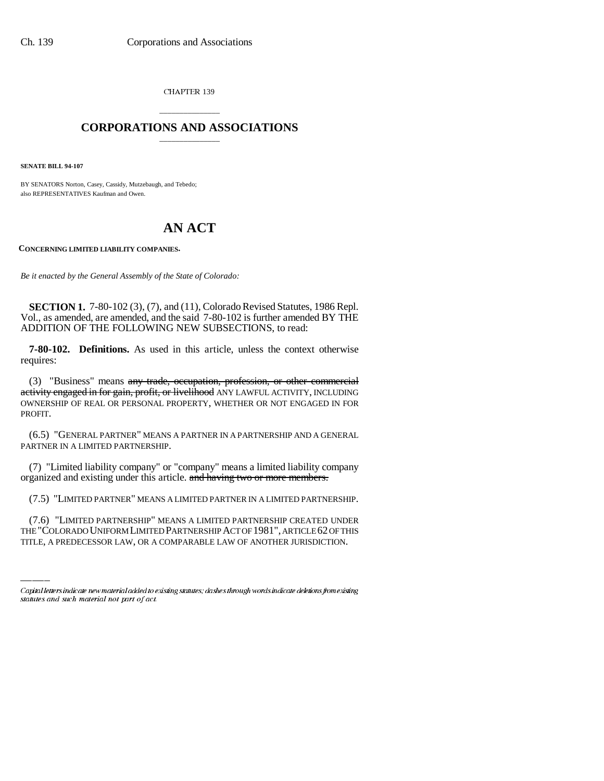CHAPTER 139

## \_\_\_\_\_\_\_\_\_\_\_\_\_\_\_ **CORPORATIONS AND ASSOCIATIONS** \_\_\_\_\_\_\_\_\_\_\_\_\_\_\_

**SENATE BILL 94-107**

BY SENATORS Norton, Casey, Cassidy, Mutzebaugh, and Tebedo; also REPRESENTATIVES Kaufman and Owen.

# **AN ACT**

**CONCERNING LIMITED LIABILITY COMPANIES.**

*Be it enacted by the General Assembly of the State of Colorado:*

**SECTION 1.** 7-80-102 (3), (7), and (11), Colorado Revised Statutes, 1986 Repl. Vol., as amended, are amended, and the said 7-80-102 is further amended BY THE ADDITION OF THE FOLLOWING NEW SUBSECTIONS, to read:

**7-80-102. Definitions.** As used in this article, unless the context otherwise requires:

(3) "Business" means any trade, occupation, profession, or other commercial activity engaged in for gain, profit, or livelihood ANY LAWFUL ACTIVITY, INCLUDING OWNERSHIP OF REAL OR PERSONAL PROPERTY, WHETHER OR NOT ENGAGED IN FOR PROFIT.

(6.5) "GENERAL PARTNER" MEANS A PARTNER IN A PARTNERSHIP AND A GENERAL PARTNER IN A LIMITED PARTNERSHIP.

(7) "Limited liability company" or "company" means a limited liability company organized and existing under this article. and having two or more members.

(7.5) "LIMITED PARTNER" MEANS A LIMITED PARTNER IN A LIMITED PARTNERSHIP.

(7.6) "LIMITED PARTNERSHIP" MEANS A LIMITED PARTNERSHIP CREATED UNDER THE "COLORADO UNIFORM LIMITED PARTNERSHIP ACT OF 1981", ARTICLE 62 OF THIS TITLE, A PREDECESSOR LAW, OR A COMPARABLE LAW OF ANOTHER JURISDICTION.

Capital letters indicate new material added to existing statutes; dashes through words indicate deletions from existing statutes and such material not part of act.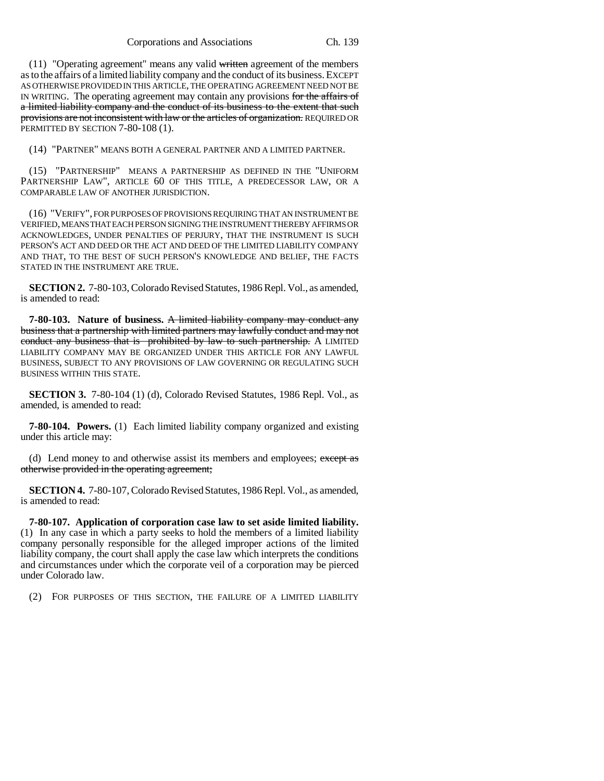Corporations and Associations Ch. 139

(11) "Operating agreement" means any valid written agreement of the members as to the affairs of a limited liability company and the conduct of its business. EXCEPT AS OTHERWISE PROVIDED IN THIS ARTICLE, THE OPERATING AGREEMENT NEED NOT BE IN WRITING. The operating agreement may contain any provisions for the affairs of a limited liability company and the conduct of its business to the extent that such provisions are not inconsistent with law or the articles of organization. REQUIRED OR PERMITTED BY SECTION 7-80-108 (1).

(14) "PARTNER" MEANS BOTH A GENERAL PARTNER AND A LIMITED PARTNER.

(15) "PARTNERSHIP" MEANS A PARTNERSHIP AS DEFINED IN THE "UNIFORM PARTNERSHIP LAW", ARTICLE 60 OF THIS TITLE, A PREDECESSOR LAW, OR A COMPARABLE LAW OF ANOTHER JURISDICTION.

(16) "VERIFY", FOR PURPOSES OF PROVISIONS REQUIRING THAT AN INSTRUMENT BE VERIFIED, MEANS THAT EACH PERSON SIGNING THE INSTRUMENT THEREBY AFFIRMS OR ACKNOWLEDGES, UNDER PENALTIES OF PERJURY, THAT THE INSTRUMENT IS SUCH PERSON'S ACT AND DEED OR THE ACT AND DEED OF THE LIMITED LIABILITY COMPANY AND THAT, TO THE BEST OF SUCH PERSON'S KNOWLEDGE AND BELIEF, THE FACTS STATED IN THE INSTRUMENT ARE TRUE.

**SECTION 2.** 7-80-103, Colorado Revised Statutes, 1986 Repl. Vol., as amended, is amended to read:

**7-80-103. Nature of business.** A limited liability company may conduct any business that a partnership with limited partners may lawfully conduct and may not conduct any business that is prohibited by law to such partnership. A LIMITED LIABILITY COMPANY MAY BE ORGANIZED UNDER THIS ARTICLE FOR ANY LAWFUL BUSINESS, SUBJECT TO ANY PROVISIONS OF LAW GOVERNING OR REGULATING SUCH BUSINESS WITHIN THIS STATE.

**SECTION 3.** 7-80-104 (1) (d), Colorado Revised Statutes, 1986 Repl. Vol., as amended, is amended to read:

**7-80-104. Powers.** (1) Each limited liability company organized and existing under this article may:

(d) Lend money to and otherwise assist its members and employees; except as otherwise provided in the operating agreement;

**SECTION 4.** 7-80-107, Colorado Revised Statutes, 1986 Repl. Vol., as amended, is amended to read:

**7-80-107. Application of corporation case law to set aside limited liability.** (1) In any case in which a party seeks to hold the members of a limited liability company personally responsible for the alleged improper actions of the limited liability company, the court shall apply the case law which interprets the conditions and circumstances under which the corporate veil of a corporation may be pierced under Colorado law.

(2) FOR PURPOSES OF THIS SECTION, THE FAILURE OF A LIMITED LIABILITY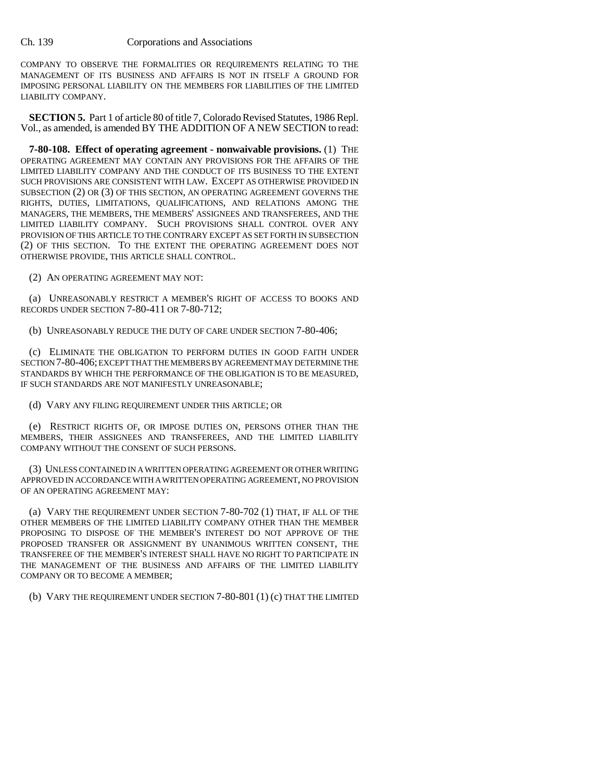COMPANY TO OBSERVE THE FORMALITIES OR REQUIREMENTS RELATING TO THE MANAGEMENT OF ITS BUSINESS AND AFFAIRS IS NOT IN ITSELF A GROUND FOR IMPOSING PERSONAL LIABILITY ON THE MEMBERS FOR LIABILITIES OF THE LIMITED LIABILITY COMPANY.

**SECTION 5.** Part 1 of article 80 of title 7, Colorado Revised Statutes, 1986 Repl. Vol., as amended, is amended BY THE ADDITION OF A NEW SECTION to read:

**7-80-108. Effect of operating agreement - nonwaivable provisions.** (1) THE OPERATING AGREEMENT MAY CONTAIN ANY PROVISIONS FOR THE AFFAIRS OF THE LIMITED LIABILITY COMPANY AND THE CONDUCT OF ITS BUSINESS TO THE EXTENT SUCH PROVISIONS ARE CONSISTENT WITH LAW. EXCEPT AS OTHERWISE PROVIDED IN SUBSECTION (2) OR (3) OF THIS SECTION, AN OPERATING AGREEMENT GOVERNS THE RIGHTS, DUTIES, LIMITATIONS, QUALIFICATIONS, AND RELATIONS AMONG THE MANAGERS, THE MEMBERS, THE MEMBERS' ASSIGNEES AND TRANSFEREES, AND THE LIMITED LIABILITY COMPANY. SUCH PROVISIONS SHALL CONTROL OVER ANY PROVISION OF THIS ARTICLE TO THE CONTRARY EXCEPT AS SET FORTH IN SUBSECTION (2) OF THIS SECTION. TO THE EXTENT THE OPERATING AGREEMENT DOES NOT OTHERWISE PROVIDE, THIS ARTICLE SHALL CONTROL.

(2) AN OPERATING AGREEMENT MAY NOT:

(a) UNREASONABLY RESTRICT A MEMBER'S RIGHT OF ACCESS TO BOOKS AND RECORDS UNDER SECTION 7-80-411 OR 7-80-712;

(b) UNREASONABLY REDUCE THE DUTY OF CARE UNDER SECTION 7-80-406;

(c) ELIMINATE THE OBLIGATION TO PERFORM DUTIES IN GOOD FAITH UNDER SECTION 7-80-406; EXCEPT THAT THE MEMBERS BY AGREEMENT MAY DETERMINE THE STANDARDS BY WHICH THE PERFORMANCE OF THE OBLIGATION IS TO BE MEASURED, IF SUCH STANDARDS ARE NOT MANIFESTLY UNREASONABLE;

(d) VARY ANY FILING REQUIREMENT UNDER THIS ARTICLE; OR

(e) RESTRICT RIGHTS OF, OR IMPOSE DUTIES ON, PERSONS OTHER THAN THE MEMBERS, THEIR ASSIGNEES AND TRANSFEREES, AND THE LIMITED LIABILITY COMPANY WITHOUT THE CONSENT OF SUCH PERSONS.

(3) UNLESS CONTAINED IN A WRITTEN OPERATING AGREEMENT OR OTHER WRITING APPROVED IN ACCORDANCE WITH A WRITTEN OPERATING AGREEMENT, NO PROVISION OF AN OPERATING AGREEMENT MAY:

(a) VARY THE REQUIREMENT UNDER SECTION 7-80-702 (1) THAT, IF ALL OF THE OTHER MEMBERS OF THE LIMITED LIABILITY COMPANY OTHER THAN THE MEMBER PROPOSING TO DISPOSE OF THE MEMBER'S INTEREST DO NOT APPROVE OF THE PROPOSED TRANSFER OR ASSIGNMENT BY UNANIMOUS WRITTEN CONSENT, THE TRANSFEREE OF THE MEMBER'S INTEREST SHALL HAVE NO RIGHT TO PARTICIPATE IN THE MANAGEMENT OF THE BUSINESS AND AFFAIRS OF THE LIMITED LIABILITY COMPANY OR TO BECOME A MEMBER;

(b) VARY THE REQUIREMENT UNDER SECTION 7-80-801 (1) (c) THAT THE LIMITED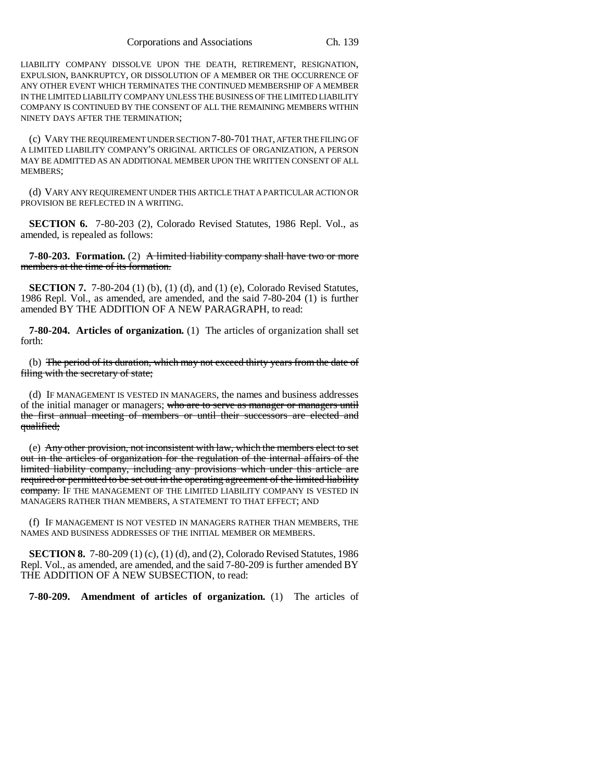LIABILITY COMPANY DISSOLVE UPON THE DEATH, RETIREMENT, RESIGNATION, EXPULSION, BANKRUPTCY, OR DISSOLUTION OF A MEMBER OR THE OCCURRENCE OF ANY OTHER EVENT WHICH TERMINATES THE CONTINUED MEMBERSHIP OF A MEMBER IN THE LIMITED LIABILITY COMPANY UNLESS THE BUSINESS OF THE LIMITED LIABILITY COMPANY IS CONTINUED BY THE CONSENT OF ALL THE REMAINING MEMBERS WITHIN NINETY DAYS AFTER THE TERMINATION;

(c) VARY THE REQUIREMENT UNDER SECTION 7-80-701 THAT, AFTER THE FILING OF A LIMITED LIABILITY COMPANY'S ORIGINAL ARTICLES OF ORGANIZATION, A PERSON MAY BE ADMITTED AS AN ADDITIONAL MEMBER UPON THE WRITTEN CONSENT OF ALL MEMBERS;

(d) VARY ANY REQUIREMENT UNDER THIS ARTICLE THAT A PARTICULAR ACTION OR PROVISION BE REFLECTED IN A WRITING.

**SECTION 6.** 7-80-203 (2), Colorado Revised Statutes, 1986 Repl. Vol., as amended, is repealed as follows:

**7-80-203.** Formation. (2) A limited liability company shall have two or more members at the time of its formation.

**SECTION 7.** 7-80-204 (1) (b), (1) (d), and (1) (e), Colorado Revised Statutes, 1986 Repl. Vol., as amended, are amended, and the said 7-80-204 (1) is further amended BY THE ADDITION OF A NEW PARAGRAPH, to read:

**7-80-204. Articles of organization.** (1) The articles of organization shall set forth:

(b) The period of its duration, which may not exceed thirty years from the date of filing with the secretary of state;

(d) IF MANAGEMENT IS VESTED IN MANAGERS, the names and business addresses of the initial manager or managers; who are to serve as manager or managers until the first annual meeting of members or until their successors are elected and qualified;

(e) Any other provision, not inconsistent with law, which the members elect to set out in the articles of organization for the regulation of the internal affairs of the limited liability company, including any provisions which under this article are required or permitted to be set out in the operating agreement of the limited liability company. IF THE MANAGEMENT OF THE LIMITED LIABILITY COMPANY IS VESTED IN MANAGERS RATHER THAN MEMBERS, A STATEMENT TO THAT EFFECT; AND

(f) IF MANAGEMENT IS NOT VESTED IN MANAGERS RATHER THAN MEMBERS, THE NAMES AND BUSINESS ADDRESSES OF THE INITIAL MEMBER OR MEMBERS.

**SECTION 8.** 7-80-209 (1) (c), (1) (d), and (2), Colorado Revised Statutes, 1986 Repl. Vol., as amended, are amended, and the said 7-80-209 is further amended BY THE ADDITION OF A NEW SUBSECTION, to read:

**7-80-209. Amendment of articles of organization.** (1) The articles of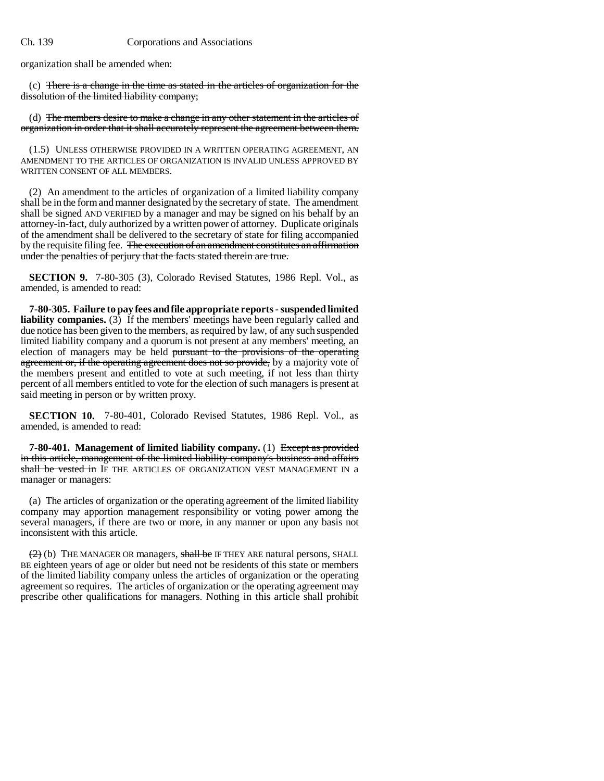organization shall be amended when:

(c) There is a change in the time as stated in the articles of organization for the dissolution of the limited liability company;

(d) The members desire to make a change in any other statement in the articles of organization in order that it shall accurately represent the agreement between them.

(1.5) UNLESS OTHERWISE PROVIDED IN A WRITTEN OPERATING AGREEMENT, AN AMENDMENT TO THE ARTICLES OF ORGANIZATION IS INVALID UNLESS APPROVED BY WRITTEN CONSENT OF ALL MEMBERS.

(2) An amendment to the articles of organization of a limited liability company shall be in the form and manner designated by the secretary of state. The amendment shall be signed AND VERIFIED by a manager and may be signed on his behalf by an attorney-in-fact, duly authorized by a written power of attorney. Duplicate originals of the amendment shall be delivered to the secretary of state for filing accompanied by the requisite filing fee. The execution of an amendment constitutes an affirmation under the penalties of perjury that the facts stated therein are true.

**SECTION 9.** 7-80-305 (3), Colorado Revised Statutes, 1986 Repl. Vol., as amended, is amended to read:

**7-80-305. Failure to pay fees and file appropriate reports - suspended limited liability companies.** (3) If the members' meetings have been regularly called and due notice has been given to the members, as required by law, of any such suspended limited liability company and a quorum is not present at any members' meeting, an election of managers may be held pursuant to the provisions of the operating agreement or, if the operating agreement does not so provide, by a majority vote of the members present and entitled to vote at such meeting, if not less than thirty percent of all members entitled to vote for the election of such managers is present at said meeting in person or by written proxy.

**SECTION 10.** 7-80-401, Colorado Revised Statutes, 1986 Repl. Vol., as amended, is amended to read:

**7-80-401. Management of limited liability company.** (1) Except as provided in this article, management of the limited liability company's business and affairs shall be vested in IF THE ARTICLES OF ORGANIZATION VEST MANAGEMENT IN a manager or managers:

(a) The articles of organization or the operating agreement of the limited liability company may apportion management responsibility or voting power among the several managers, if there are two or more, in any manner or upon any basis not inconsistent with this article.

 $(2)$  (b) THE MANAGER OR managers, shall be IF THEY ARE natural persons, SHALL BE eighteen years of age or older but need not be residents of this state or members of the limited liability company unless the articles of organization or the operating agreement so requires. The articles of organization or the operating agreement may prescribe other qualifications for managers. Nothing in this article shall prohibit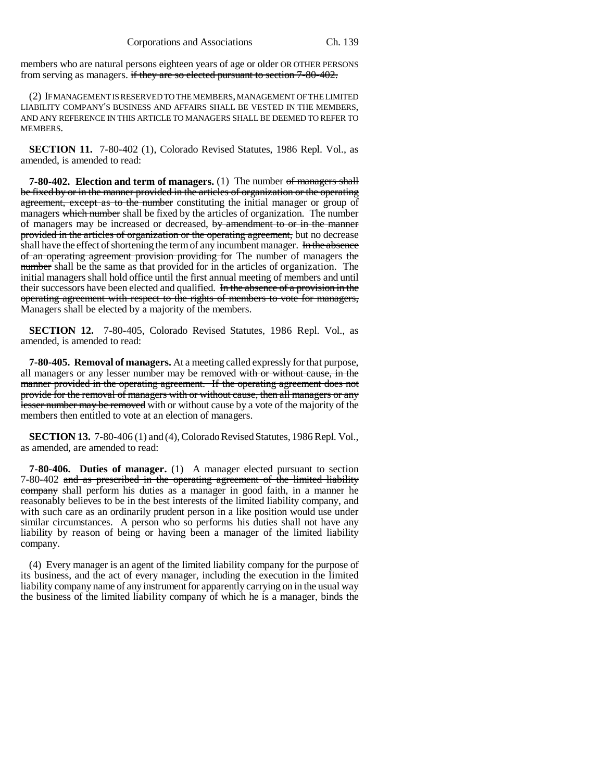members who are natural persons eighteen years of age or older OR OTHER PERSONS from serving as managers. if they are so elected pursuant to section 7-80-402.

(2) IF MANAGEMENT IS RESERVED TO THE MEMBERS, MANAGEMENT OF THE LIMITED LIABILITY COMPANY'S BUSINESS AND AFFAIRS SHALL BE VESTED IN THE MEMBERS, AND ANY REFERENCE IN THIS ARTICLE TO MANAGERS SHALL BE DEEMED TO REFER TO **MEMBERS** 

**SECTION 11.** 7-80-402 (1), Colorado Revised Statutes, 1986 Repl. Vol., as amended, is amended to read:

**7-80-402. Election and term of managers.** (1) The number of managers shall be fixed by or in the manner provided in the articles of organization or the operating agreement, except as to the number constituting the initial manager or group of managers which number shall be fixed by the articles of organization. The number of managers may be increased or decreased, by amendment to or in the manner provided in the articles of organization or the operating agreement, but no decrease shall have the effect of shortening the term of any incumbent manager. In the absence of an operating agreement provision providing for The number of managers the number shall be the same as that provided for in the articles of organization. The initial managers shall hold office until the first annual meeting of members and until their successors have been elected and qualified. In the absence of a provision in the operating agreement with respect to the rights of members to vote for managers, Managers shall be elected by a majority of the members.

**SECTION 12.** 7-80-405, Colorado Revised Statutes, 1986 Repl. Vol., as amended, is amended to read:

**7-80-405. Removal of managers.** At a meeting called expressly for that purpose, all managers or any lesser number may be removed with or without cause, in the manner provided in the operating agreement. If the operating agreement does not provide for the removal of managers with or without cause, then all managers or any lesser number may be removed with or without cause by a vote of the majority of the members then entitled to vote at an election of managers.

**SECTION 13.** 7-80-406 (1) and (4), Colorado Revised Statutes, 1986 Repl. Vol., as amended, are amended to read:

**7-80-406. Duties of manager.** (1) A manager elected pursuant to section 7-80-402 and as prescribed in the operating agreement of the limited liability company shall perform his duties as a manager in good faith, in a manner he reasonably believes to be in the best interests of the limited liability company, and with such care as an ordinarily prudent person in a like position would use under similar circumstances. A person who so performs his duties shall not have any liability by reason of being or having been a manager of the limited liability company.

(4) Every manager is an agent of the limited liability company for the purpose of its business, and the act of every manager, including the execution in the limited liability company name of any instrument for apparently carrying on in the usual way the business of the limited liability company of which he is a manager, binds the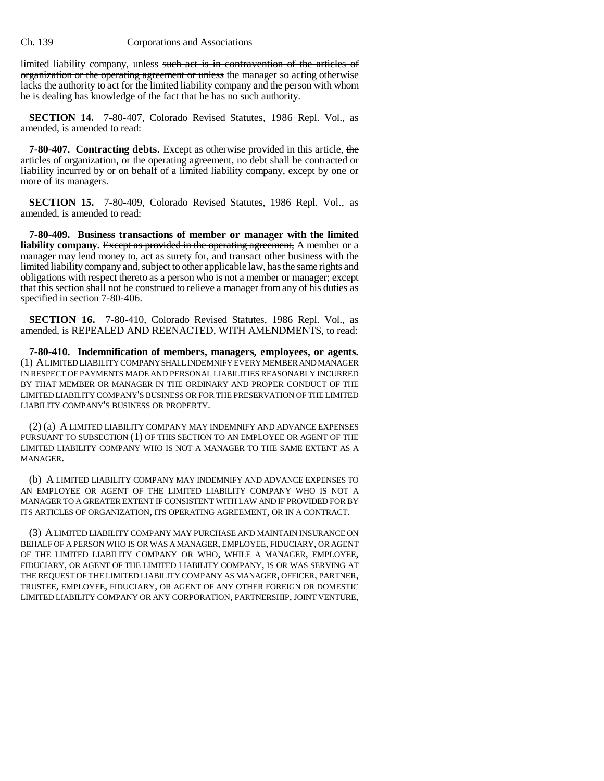limited liability company, unless such act is in contravention of the articles of organization or the operating agreement or unless the manager so acting otherwise lacks the authority to act for the limited liability company and the person with whom he is dealing has knowledge of the fact that he has no such authority.

**SECTION 14.** 7-80-407, Colorado Revised Statutes, 1986 Repl. Vol., as amended, is amended to read:

**7-80-407. Contracting debts.** Except as otherwise provided in this article, the articles of organization, or the operating agreement, no debt shall be contracted or liability incurred by or on behalf of a limited liability company, except by one or more of its managers.

**SECTION 15.** 7-80-409, Colorado Revised Statutes, 1986 Repl. Vol., as amended, is amended to read:

**7-80-409. Business transactions of member or manager with the limited liability company.** Except as provided in the operating agreement, A member or a manager may lend money to, act as surety for, and transact other business with the limited liability company and, subject to other applicable law, has the same rights and obligations with respect thereto as a person who is not a member or manager; except that this section shall not be construed to relieve a manager from any of his duties as specified in section 7-80-406.

**SECTION 16.** 7-80-410, Colorado Revised Statutes, 1986 Repl. Vol., as amended, is REPEALED AND REENACTED, WITH AMENDMENTS, to read:

**7-80-410. Indemnification of members, managers, employees, or agents.** (1) A LIMITED LIABILITY COMPANY SHALL INDEMNIFY EVERY MEMBER AND MANAGER IN RESPECT OF PAYMENTS MADE AND PERSONAL LIABILITIES REASONABLY INCURRED BY THAT MEMBER OR MANAGER IN THE ORDINARY AND PROPER CONDUCT OF THE LIMITED LIABILITY COMPANY'S BUSINESS OR FOR THE PRESERVATION OF THE LIMITED LIABILITY COMPANY'S BUSINESS OR PROPERTY.

(2) (a) A LIMITED LIABILITY COMPANY MAY INDEMNIFY AND ADVANCE EXPENSES PURSUANT TO SUBSECTION (1) OF THIS SECTION TO AN EMPLOYEE OR AGENT OF THE LIMITED LIABILITY COMPANY WHO IS NOT A MANAGER TO THE SAME EXTENT AS A MANAGER.

(b) A LIMITED LIABILITY COMPANY MAY INDEMNIFY AND ADVANCE EXPENSES TO AN EMPLOYEE OR AGENT OF THE LIMITED LIABILITY COMPANY WHO IS NOT A MANAGER TO A GREATER EXTENT IF CONSISTENT WITH LAW AND IF PROVIDED FOR BY ITS ARTICLES OF ORGANIZATION, ITS OPERATING AGREEMENT, OR IN A CONTRACT.

(3) A LIMITED LIABILITY COMPANY MAY PURCHASE AND MAINTAIN INSURANCE ON BEHALF OF A PERSON WHO IS OR WAS A MANAGER, EMPLOYEE, FIDUCIARY, OR AGENT OF THE LIMITED LIABILITY COMPANY OR WHO, WHILE A MANAGER, EMPLOYEE, FIDUCIARY, OR AGENT OF THE LIMITED LIABILITY COMPANY, IS OR WAS SERVING AT THE REQUEST OF THE LIMITED LIABILITY COMPANY AS MANAGER, OFFICER, PARTNER, TRUSTEE, EMPLOYEE, FIDUCIARY, OR AGENT OF ANY OTHER FOREIGN OR DOMESTIC LIMITED LIABILITY COMPANY OR ANY CORPORATION, PARTNERSHIP, JOINT VENTURE,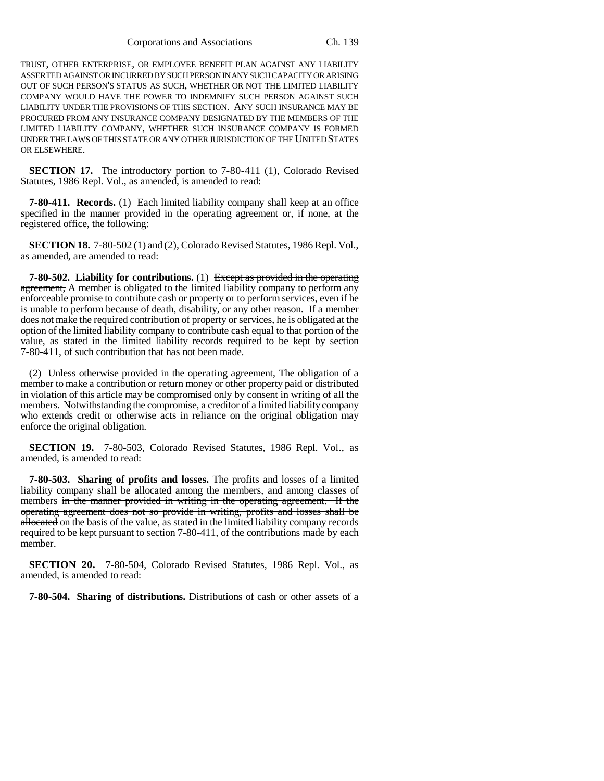Corporations and Associations Ch. 139

TRUST, OTHER ENTERPRISE, OR EMPLOYEE BENEFIT PLAN AGAINST ANY LIABILITY ASSERTED AGAINST OR INCURRED BY SUCH PERSON IN ANY SUCH CAPACITY OR ARISING OUT OF SUCH PERSON'S STATUS AS SUCH, WHETHER OR NOT THE LIMITED LIABILITY COMPANY WOULD HAVE THE POWER TO INDEMNIFY SUCH PERSON AGAINST SUCH LIABILITY UNDER THE PROVISIONS OF THIS SECTION. ANY SUCH INSURANCE MAY BE PROCURED FROM ANY INSURANCE COMPANY DESIGNATED BY THE MEMBERS OF THE LIMITED LIABILITY COMPANY, WHETHER SUCH INSURANCE COMPANY IS FORMED UNDER THE LAWS OF THIS STATE OR ANY OTHER JURISDICTION OF THE UNITED STATES OR ELSEWHERE.

**SECTION 17.** The introductory portion to 7-80-411 (1), Colorado Revised Statutes, 1986 Repl. Vol., as amended, is amended to read:

**7-80-411. Records.** (1) Each limited liability company shall keep at an office specified in the manner provided in the operating agreement or, if none, at the registered office, the following:

**SECTION 18.** 7-80-502 (1) and (2), Colorado Revised Statutes, 1986 Repl. Vol., as amended, are amended to read:

**7-80-502. Liability for contributions.** (1) Except as provided in the operating agreement, A member is obligated to the limited liability company to perform any enforceable promise to contribute cash or property or to perform services, even if he is unable to perform because of death, disability, or any other reason. If a member does not make the required contribution of property or services, he is obligated at the option of the limited liability company to contribute cash equal to that portion of the value, as stated in the limited liability records required to be kept by section 7-80-411, of such contribution that has not been made.

(2) Unless otherwise provided in the operating agreement, The obligation of a member to make a contribution or return money or other property paid or distributed in violation of this article may be compromised only by consent in writing of all the members. Notwithstanding the compromise, a creditor of a limited liability company who extends credit or otherwise acts in reliance on the original obligation may enforce the original obligation.

**SECTION 19.** 7-80-503, Colorado Revised Statutes, 1986 Repl. Vol., as amended, is amended to read:

**7-80-503. Sharing of profits and losses.** The profits and losses of a limited liability company shall be allocated among the members, and among classes of members in the manner provided in writing in the operating agreement. If the operating agreement does not so provide in writing, profits and losses shall be allocated on the basis of the value, as stated in the limited liability company records required to be kept pursuant to section 7-80-411, of the contributions made by each member.

**SECTION 20.** 7-80-504, Colorado Revised Statutes, 1986 Repl. Vol., as amended, is amended to read:

**7-80-504. Sharing of distributions.** Distributions of cash or other assets of a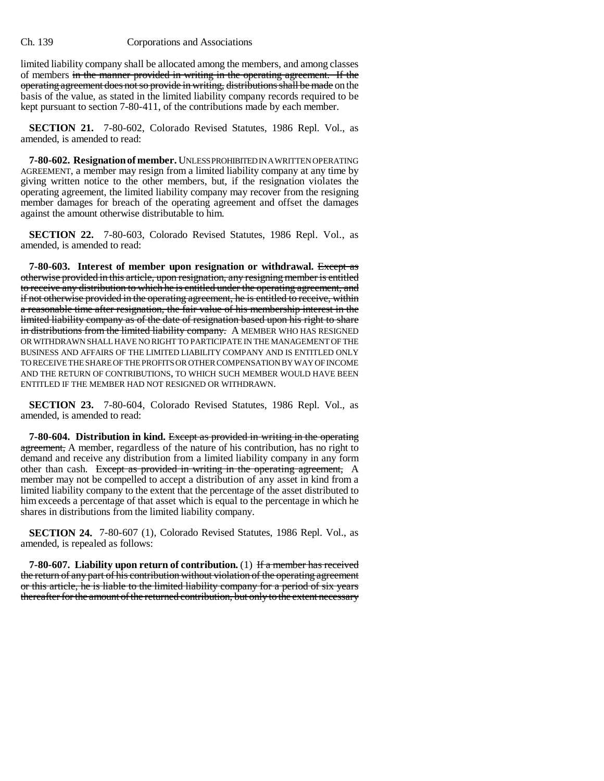limited liability company shall be allocated among the members, and among classes of members in the manner provided in writing in the operating agreement. If the operating agreement does not so provide in writing, distributions shall be made on the basis of the value, as stated in the limited liability company records required to be kept pursuant to section 7-80-411, of the contributions made by each member.

**SECTION 21.** 7-80-602, Colorado Revised Statutes, 1986 Repl. Vol., as amended, is amended to read:

**7-80-602. Resignation of member.** UNLESS PROHIBITED IN A WRITTEN OPERATING AGREEMENT, a member may resign from a limited liability company at any time by giving written notice to the other members, but, if the resignation violates the operating agreement, the limited liability company may recover from the resigning member damages for breach of the operating agreement and offset the damages against the amount otherwise distributable to him.

**SECTION 22.** 7-80-603, Colorado Revised Statutes, 1986 Repl. Vol., as amended, is amended to read:

**7-80-603. Interest of member upon resignation or withdrawal.** Except as otherwise provided in this article, upon resignation, any resigning member is entitled to receive any distribution to which he is entitled under the operating agreement, and if not otherwise provided in the operating agreement, he is entitled to receive, within a reasonable time after resignation, the fair value of his membership interest in the limited liability company as of the date of resignation based upon his right to share in distributions from the limited liability company. A MEMBER WHO HAS RESIGNED OR WITHDRAWN SHALL HAVE NO RIGHT TO PARTICIPATE IN THE MANAGEMENT OF THE BUSINESS AND AFFAIRS OF THE LIMITED LIABILITY COMPANY AND IS ENTITLED ONLY TO RECEIVE THE SHARE OF THE PROFITS OR OTHER COMPENSATION BY WAY OF INCOME AND THE RETURN OF CONTRIBUTIONS, TO WHICH SUCH MEMBER WOULD HAVE BEEN ENTITLED IF THE MEMBER HAD NOT RESIGNED OR WITHDRAWN.

**SECTION 23.** 7-80-604, Colorado Revised Statutes, 1986 Repl. Vol., as amended, is amended to read:

**7-80-604. Distribution in kind.** Except as provided in writing in the operating agreement, A member, regardless of the nature of his contribution, has no right to demand and receive any distribution from a limited liability company in any form other than cash. Except as provided in writing in the operating agreement, A member may not be compelled to accept a distribution of any asset in kind from a limited liability company to the extent that the percentage of the asset distributed to him exceeds a percentage of that asset which is equal to the percentage in which he shares in distributions from the limited liability company.

**SECTION 24.** 7-80-607 (1), Colorado Revised Statutes, 1986 Repl. Vol., as amended, is repealed as follows:

**7-80-607. Liability upon return of contribution.** (1) If a member has received the return of any part of his contribution without violation of the operating agreement or this article, he is liable to the limited liability company for a period of six years thereafter for the amount of the returned contribution, but only to the extent necessary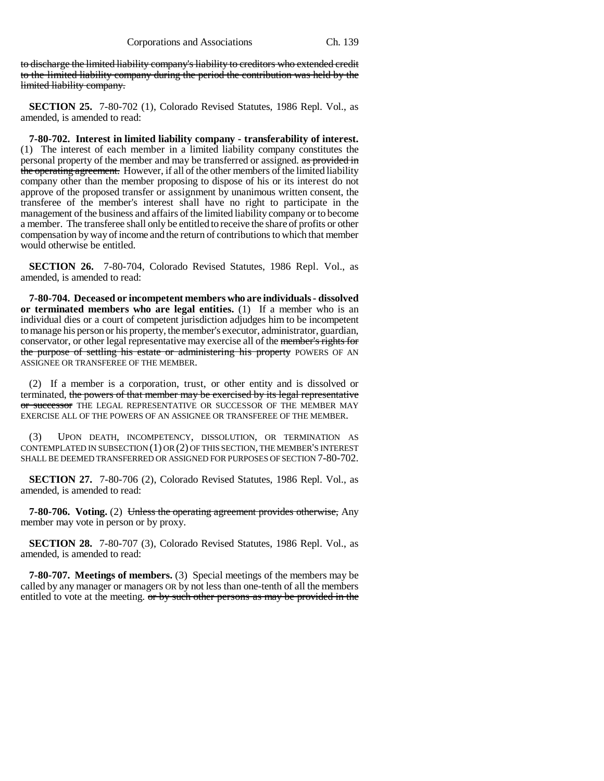to discharge the limited liability company's liability to creditors who extended credit to the limited liability company during the period the contribution was held by the limited liability company.

**SECTION 25.** 7-80-702 (1), Colorado Revised Statutes, 1986 Repl. Vol., as amended, is amended to read:

**7-80-702. Interest in limited liability company - transferability of interest.** (1) The interest of each member in a limited liability company constitutes the personal property of the member and may be transferred or assigned. as provided in the operating agreement. However, if all of the other members of the limited liability company other than the member proposing to dispose of his or its interest do not approve of the proposed transfer or assignment by unanimous written consent, the transferee of the member's interest shall have no right to participate in the management of the business and affairs of the limited liability company or to become a member. The transferee shall only be entitled to receive the share of profits or other compensation by way of income and the return of contributions to which that member would otherwise be entitled.

**SECTION 26.** 7-80-704, Colorado Revised Statutes, 1986 Repl. Vol., as amended, is amended to read:

**7-80-704. Deceased or incompetent members who are individuals - dissolved or terminated members who are legal entities.** (1) If a member who is an individual dies or a court of competent jurisdiction adjudges him to be incompetent to manage his person or his property, the member's executor, administrator, guardian, conservator, or other legal representative may exercise all of the member's rights for the purpose of settling his estate or administering his property POWERS OF AN ASSIGNEE OR TRANSFEREE OF THE MEMBER.

(2) If a member is a corporation, trust, or other entity and is dissolved or terminated, the powers of that member may be exercised by its legal representative or successor THE LEGAL REPRESENTATIVE OR SUCCESSOR OF THE MEMBER MAY EXERCISE ALL OF THE POWERS OF AN ASSIGNEE OR TRANSFEREE OF THE MEMBER.

(3) UPON DEATH, INCOMPETENCY, DISSOLUTION, OR TERMINATION AS CONTEMPLATED IN SUBSECTION (1) OR (2) OF THIS SECTION, THE MEMBER'S INTEREST SHALL BE DEEMED TRANSFERRED OR ASSIGNED FOR PURPOSES OF SECTION 7-80-702.

**SECTION 27.** 7-80-706 (2), Colorado Revised Statutes, 1986 Repl. Vol., as amended, is amended to read:

**7-80-706.** Voting. (2) Unless the operating agreement provides otherwise, Any member may vote in person or by proxy.

**SECTION 28.** 7-80-707 (3), Colorado Revised Statutes, 1986 Repl. Vol., as amended, is amended to read:

**7-80-707. Meetings of members.** (3) Special meetings of the members may be called by any manager or managers OR by not less than one-tenth of all the members entitled to vote at the meeting. or by such other persons as may be provided in the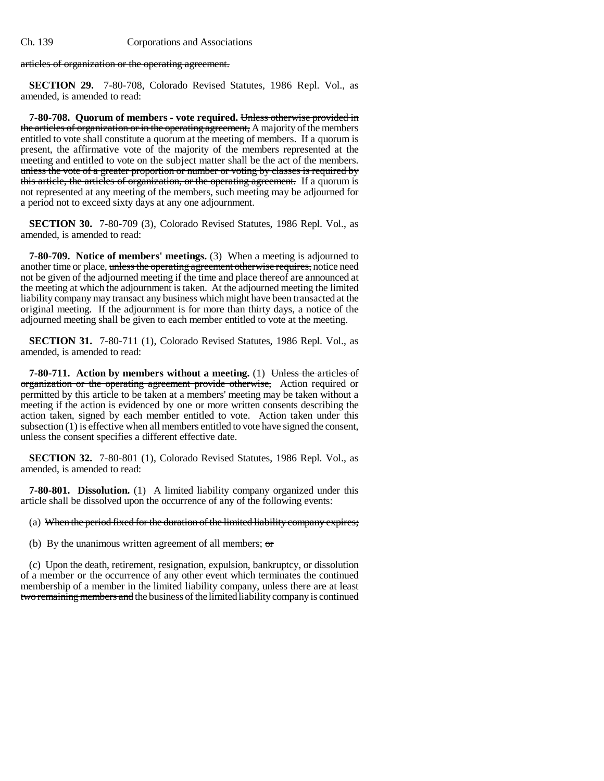articles of organization or the operating agreement.

**SECTION 29.** 7-80-708, Colorado Revised Statutes, 1986 Repl. Vol., as amended, is amended to read:

**7-80-708. Quorum of members - vote required.** Unless otherwise provided in the articles of organization or in the operating agreement, A majority of the members entitled to vote shall constitute a quorum at the meeting of members. If a quorum is present, the affirmative vote of the majority of the members represented at the meeting and entitled to vote on the subject matter shall be the act of the members. unless the vote of a greater proportion or number or voting by classes is required by this article, the articles of organization, or the operating agreement. If a quorum is not represented at any meeting of the members, such meeting may be adjourned for a period not to exceed sixty days at any one adjournment.

**SECTION 30.** 7-80-709 (3), Colorado Revised Statutes, 1986 Repl. Vol., as amended, is amended to read:

**7-80-709. Notice of members' meetings.** (3) When a meeting is adjourned to another time or place, unless the operating agreement otherwise requires, notice need not be given of the adjourned meeting if the time and place thereof are announced at the meeting at which the adjournment is taken. At the adjourned meeting the limited liability company may transact any business which might have been transacted at the original meeting. If the adjournment is for more than thirty days, a notice of the adjourned meeting shall be given to each member entitled to vote at the meeting.

**SECTION 31.** 7-80-711 (1), Colorado Revised Statutes, 1986 Repl. Vol., as amended, is amended to read:

**7-80-711.** Action by members without a meeting. (1) Unless the articles of organization or the operating agreement provide otherwise, Action required or permitted by this article to be taken at a members' meeting may be taken without a meeting if the action is evidenced by one or more written consents describing the action taken, signed by each member entitled to vote. Action taken under this subsection (1) is effective when all members entitled to vote have signed the consent, unless the consent specifies a different effective date.

**SECTION 32.** 7-80-801 (1), Colorado Revised Statutes, 1986 Repl. Vol., as amended, is amended to read:

**7-80-801. Dissolution.** (1) A limited liability company organized under this article shall be dissolved upon the occurrence of any of the following events:

#### (a) When the period fixed for the duration of the limited liability company expires;

(b) By the unanimous written agreement of all members;  $\sigma$ 

(c) Upon the death, retirement, resignation, expulsion, bankruptcy, or dissolution of a member or the occurrence of any other event which terminates the continued membership of a member in the limited liability company, unless there are at least two remaining members and the business of the limited liability company is continued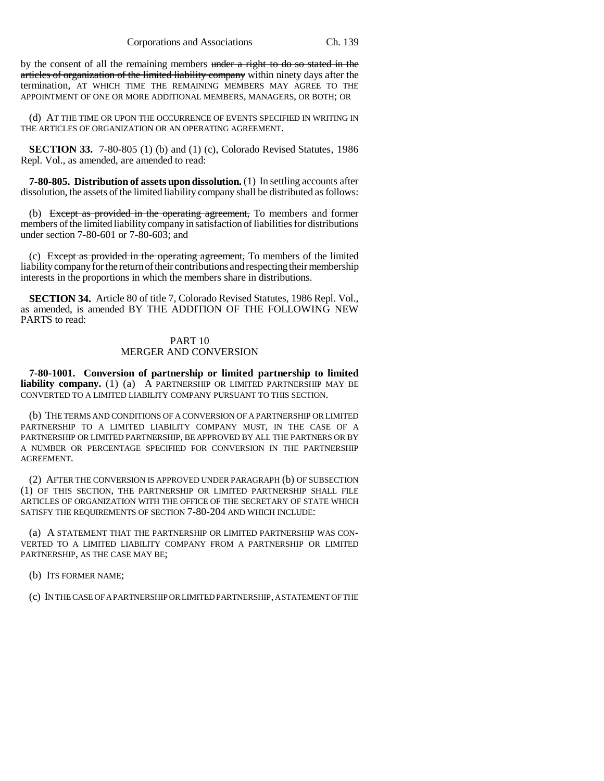by the consent of all the remaining members under a right to do so stated in the articles of organization of the limited liability company within ninety days after the termination, AT WHICH TIME THE REMAINING MEMBERS MAY AGREE TO THE APPOINTMENT OF ONE OR MORE ADDITIONAL MEMBERS, MANAGERS, OR BOTH; OR

(d) AT THE TIME OR UPON THE OCCURRENCE OF EVENTS SPECIFIED IN WRITING IN THE ARTICLES OF ORGANIZATION OR AN OPERATING AGREEMENT.

**SECTION 33.** 7-80-805 (1) (b) and (1) (c), Colorado Revised Statutes, 1986 Repl. Vol., as amended, are amended to read:

**7-80-805. Distribution of assets upon dissolution.** (1) In settling accounts after dissolution, the assets of the limited liability company shall be distributed as follows:

(b) Except as provided in the operating agreement, To members and former members of the limited liability company in satisfaction of liabilities for distributions under section 7-80-601 or 7-80-603; and

(c) Except as provided in the operating agreement, To members of the limited liability company for the return of their contributions and respecting their membership interests in the proportions in which the members share in distributions.

**SECTION 34.** Article 80 of title 7, Colorado Revised Statutes, 1986 Repl. Vol., as amended, is amended BY THE ADDITION OF THE FOLLOWING NEW PARTS to read:

### PART 10 MERGER AND CONVERSION

**7-80-1001. Conversion of partnership or limited partnership to limited liability company.** (1) (a) A PARTNERSHIP OR LIMITED PARTNERSHIP MAY BE CONVERTED TO A LIMITED LIABILITY COMPANY PURSUANT TO THIS SECTION.

(b) THE TERMS AND CONDITIONS OF A CONVERSION OF A PARTNERSHIP OR LIMITED PARTNERSHIP TO A LIMITED LIABILITY COMPANY MUST, IN THE CASE OF A PARTNERSHIP OR LIMITED PARTNERSHIP, BE APPROVED BY ALL THE PARTNERS OR BY A NUMBER OR PERCENTAGE SPECIFIED FOR CONVERSION IN THE PARTNERSHIP AGREEMENT.

(2) AFTER THE CONVERSION IS APPROVED UNDER PARAGRAPH (b) OF SUBSECTION (1) OF THIS SECTION, THE PARTNERSHIP OR LIMITED PARTNERSHIP SHALL FILE ARTICLES OF ORGANIZATION WITH THE OFFICE OF THE SECRETARY OF STATE WHICH SATISFY THE REQUIREMENTS OF SECTION 7-80-204 AND WHICH INCLUDE:

(a) A STATEMENT THAT THE PARTNERSHIP OR LIMITED PARTNERSHIP WAS CON-VERTED TO A LIMITED LIABILITY COMPANY FROM A PARTNERSHIP OR LIMITED PARTNERSHIP, AS THE CASE MAY BE;

(b) ITS FORMER NAME;

(c) IN THE CASE OF A PARTNERSHIP OR LIMITED PARTNERSHIP, A STATEMENT OF THE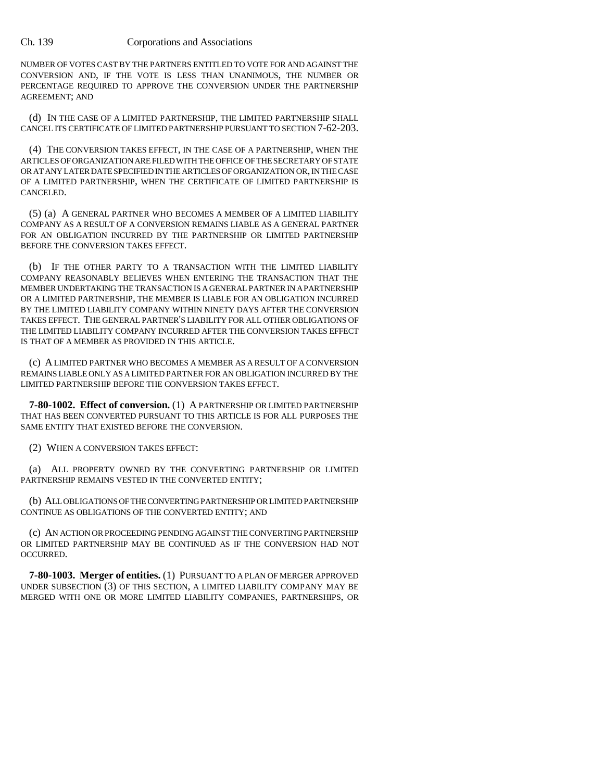NUMBER OF VOTES CAST BY THE PARTNERS ENTITLED TO VOTE FOR AND AGAINST THE CONVERSION AND, IF THE VOTE IS LESS THAN UNANIMOUS, THE NUMBER OR PERCENTAGE REQUIRED TO APPROVE THE CONVERSION UNDER THE PARTNERSHIP AGREEMENT; AND

(d) IN THE CASE OF A LIMITED PARTNERSHIP, THE LIMITED PARTNERSHIP SHALL CANCEL ITS CERTIFICATE OF LIMITED PARTNERSHIP PURSUANT TO SECTION 7-62-203.

(4) THE CONVERSION TAKES EFFECT, IN THE CASE OF A PARTNERSHIP, WHEN THE ARTICLES OF ORGANIZATION ARE FILED WITH THE OFFICE OF THE SECRETARY OF STATE OR AT ANY LATER DATE SPECIFIED IN THE ARTICLES OF ORGANIZATION OR, IN THE CASE OF A LIMITED PARTNERSHIP, WHEN THE CERTIFICATE OF LIMITED PARTNERSHIP IS CANCELED.

(5) (a) A GENERAL PARTNER WHO BECOMES A MEMBER OF A LIMITED LIABILITY COMPANY AS A RESULT OF A CONVERSION REMAINS LIABLE AS A GENERAL PARTNER FOR AN OBLIGATION INCURRED BY THE PARTNERSHIP OR LIMITED PARTNERSHIP BEFORE THE CONVERSION TAKES EFFECT.

(b) IF THE OTHER PARTY TO A TRANSACTION WITH THE LIMITED LIABILITY COMPANY REASONABLY BELIEVES WHEN ENTERING THE TRANSACTION THAT THE MEMBER UNDERTAKING THE TRANSACTION IS A GENERAL PARTNER IN A PARTNERSHIP OR A LIMITED PARTNERSHIP, THE MEMBER IS LIABLE FOR AN OBLIGATION INCURRED BY THE LIMITED LIABILITY COMPANY WITHIN NINETY DAYS AFTER THE CONVERSION TAKES EFFECT. THE GENERAL PARTNER'S LIABILITY FOR ALL OTHER OBLIGATIONS OF THE LIMITED LIABILITY COMPANY INCURRED AFTER THE CONVERSION TAKES EFFECT IS THAT OF A MEMBER AS PROVIDED IN THIS ARTICLE.

(c) A LIMITED PARTNER WHO BECOMES A MEMBER AS A RESULT OF A CONVERSION REMAINS LIABLE ONLY AS A LIMITED PARTNER FOR AN OBLIGATION INCURRED BY THE LIMITED PARTNERSHIP BEFORE THE CONVERSION TAKES EFFECT.

**7-80-1002. Effect of conversion.** (1) A PARTNERSHIP OR LIMITED PARTNERSHIP THAT HAS BEEN CONVERTED PURSUANT TO THIS ARTICLE IS FOR ALL PURPOSES THE SAME ENTITY THAT EXISTED BEFORE THE CONVERSION.

(2) WHEN A CONVERSION TAKES EFFECT:

(a) ALL PROPERTY OWNED BY THE CONVERTING PARTNERSHIP OR LIMITED PARTNERSHIP REMAINS VESTED IN THE CONVERTED ENTITY;

(b) ALL OBLIGATIONS OF THE CONVERTING PARTNERSHIP OR LIMITED PARTNERSHIP CONTINUE AS OBLIGATIONS OF THE CONVERTED ENTITY; AND

(c) AN ACTION OR PROCEEDING PENDING AGAINST THE CONVERTING PARTNERSHIP OR LIMITED PARTNERSHIP MAY BE CONTINUED AS IF THE CONVERSION HAD NOT OCCURRED.

**7-80-1003. Merger of entities.** (1) PURSUANT TO A PLAN OF MERGER APPROVED UNDER SUBSECTION (3) OF THIS SECTION, A LIMITED LIABILITY COMPANY MAY BE MERGED WITH ONE OR MORE LIMITED LIABILITY COMPANIES, PARTNERSHIPS, OR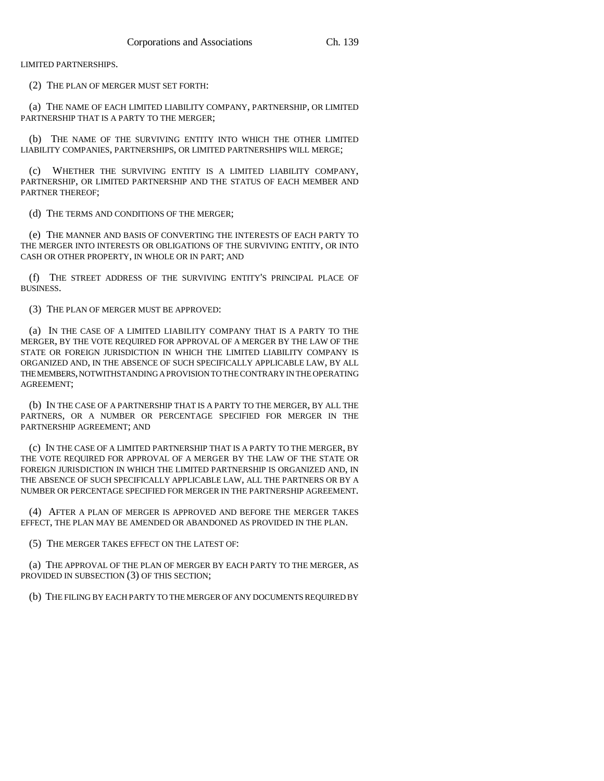LIMITED PARTNERSHIPS.

(2) THE PLAN OF MERGER MUST SET FORTH:

(a) THE NAME OF EACH LIMITED LIABILITY COMPANY, PARTNERSHIP, OR LIMITED PARTNERSHIP THAT IS A PARTY TO THE MERGER;

(b) THE NAME OF THE SURVIVING ENTITY INTO WHICH THE OTHER LIMITED LIABILITY COMPANIES, PARTNERSHIPS, OR LIMITED PARTNERSHIPS WILL MERGE;

(c) WHETHER THE SURVIVING ENTITY IS A LIMITED LIABILITY COMPANY, PARTNERSHIP, OR LIMITED PARTNERSHIP AND THE STATUS OF EACH MEMBER AND PARTNER THEREOF;

(d) THE TERMS AND CONDITIONS OF THE MERGER;

(e) THE MANNER AND BASIS OF CONVERTING THE INTERESTS OF EACH PARTY TO THE MERGER INTO INTERESTS OR OBLIGATIONS OF THE SURVIVING ENTITY, OR INTO CASH OR OTHER PROPERTY, IN WHOLE OR IN PART; AND

(f) THE STREET ADDRESS OF THE SURVIVING ENTITY'S PRINCIPAL PLACE OF BUSINESS.

(3) THE PLAN OF MERGER MUST BE APPROVED:

(a) IN THE CASE OF A LIMITED LIABILITY COMPANY THAT IS A PARTY TO THE MERGER, BY THE VOTE REQUIRED FOR APPROVAL OF A MERGER BY THE LAW OF THE STATE OR FOREIGN JURISDICTION IN WHICH THE LIMITED LIABILITY COMPANY IS ORGANIZED AND, IN THE ABSENCE OF SUCH SPECIFICALLY APPLICABLE LAW, BY ALL THE MEMBERS, NOTWITHSTANDING A PROVISION TO THE CONTRARY IN THE OPERATING AGREEMENT;

(b) IN THE CASE OF A PARTNERSHIP THAT IS A PARTY TO THE MERGER, BY ALL THE PARTNERS, OR A NUMBER OR PERCENTAGE SPECIFIED FOR MERGER IN THE PARTNERSHIP AGREEMENT; AND

(c) IN THE CASE OF A LIMITED PARTNERSHIP THAT IS A PARTY TO THE MERGER, BY THE VOTE REQUIRED FOR APPROVAL OF A MERGER BY THE LAW OF THE STATE OR FOREIGN JURISDICTION IN WHICH THE LIMITED PARTNERSHIP IS ORGANIZED AND, IN THE ABSENCE OF SUCH SPECIFICALLY APPLICABLE LAW, ALL THE PARTNERS OR BY A NUMBER OR PERCENTAGE SPECIFIED FOR MERGER IN THE PARTNERSHIP AGREEMENT.

(4) AFTER A PLAN OF MERGER IS APPROVED AND BEFORE THE MERGER TAKES EFFECT, THE PLAN MAY BE AMENDED OR ABANDONED AS PROVIDED IN THE PLAN.

(5) THE MERGER TAKES EFFECT ON THE LATEST OF:

(a) THE APPROVAL OF THE PLAN OF MERGER BY EACH PARTY TO THE MERGER, AS PROVIDED IN SUBSECTION (3) OF THIS SECTION;

(b) THE FILING BY EACH PARTY TO THE MERGER OF ANY DOCUMENTS REQUIRED BY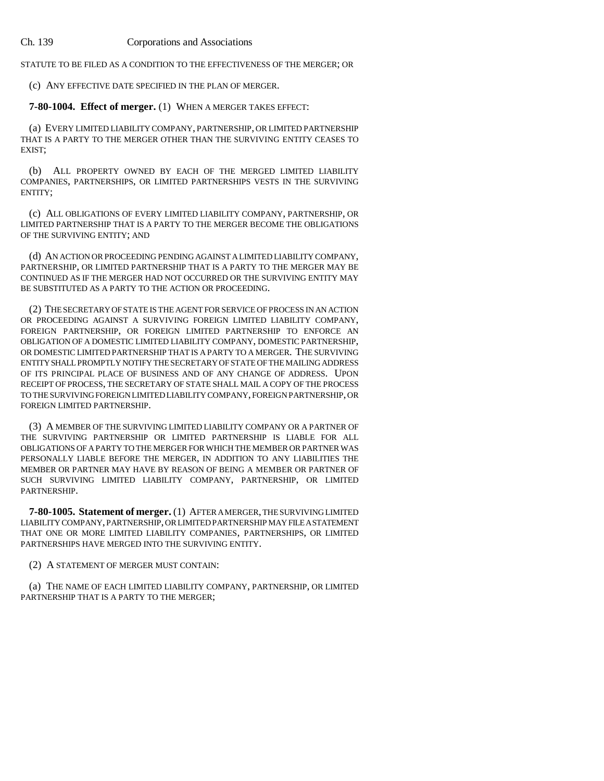STATUTE TO BE FILED AS A CONDITION TO THE EFFECTIVENESS OF THE MERGER; OR

(c) ANY EFFECTIVE DATE SPECIFIED IN THE PLAN OF MERGER.

**7-80-1004. Effect of merger.** (1) WHEN A MERGER TAKES EFFECT:

(a) EVERY LIMITED LIABILITY COMPANY, PARTNERSHIP, OR LIMITED PARTNERSHIP THAT IS A PARTY TO THE MERGER OTHER THAN THE SURVIVING ENTITY CEASES TO EXIST;

(b) ALL PROPERTY OWNED BY EACH OF THE MERGED LIMITED LIABILITY COMPANIES, PARTNERSHIPS, OR LIMITED PARTNERSHIPS VESTS IN THE SURVIVING ENTITY;

(c) ALL OBLIGATIONS OF EVERY LIMITED LIABILITY COMPANY, PARTNERSHIP, OR LIMITED PARTNERSHIP THAT IS A PARTY TO THE MERGER BECOME THE OBLIGATIONS OF THE SURVIVING ENTITY; AND

(d) AN ACTION OR PROCEEDING PENDING AGAINST A LIMITED LIABILITY COMPANY, PARTNERSHIP, OR LIMITED PARTNERSHIP THAT IS A PARTY TO THE MERGER MAY BE CONTINUED AS IF THE MERGER HAD NOT OCCURRED OR THE SURVIVING ENTITY MAY BE SUBSTITUTED AS A PARTY TO THE ACTION OR PROCEEDING.

(2) THE SECRETARY OF STATE IS THE AGENT FOR SERVICE OF PROCESS IN AN ACTION OR PROCEEDING AGAINST A SURVIVING FOREIGN LIMITED LIABILITY COMPANY, FOREIGN PARTNERSHIP, OR FOREIGN LIMITED PARTNERSHIP TO ENFORCE AN OBLIGATION OF A DOMESTIC LIMITED LIABILITY COMPANY, DOMESTIC PARTNERSHIP, OR DOMESTIC LIMITED PARTNERSHIP THAT IS A PARTY TO A MERGER. THE SURVIVING ENTITY SHALL PROMPTLY NOTIFY THE SECRETARY OF STATE OF THE MAILING ADDRESS OF ITS PRINCIPAL PLACE OF BUSINESS AND OF ANY CHANGE OF ADDRESS. UPON RECEIPT OF PROCESS, THE SECRETARY OF STATE SHALL MAIL A COPY OF THE PROCESS TO THE SURVIVING FOREIGN LIMITED LIABILITY COMPANY, FOREIGN PARTNERSHIP, OR FOREIGN LIMITED PARTNERSHIP.

(3) A MEMBER OF THE SURVIVING LIMITED LIABILITY COMPANY OR A PARTNER OF THE SURVIVING PARTNERSHIP OR LIMITED PARTNERSHIP IS LIABLE FOR ALL OBLIGATIONS OF A PARTY TO THE MERGER FOR WHICH THE MEMBER OR PARTNER WAS PERSONALLY LIABLE BEFORE THE MERGER, IN ADDITION TO ANY LIABILITIES THE MEMBER OR PARTNER MAY HAVE BY REASON OF BEING A MEMBER OR PARTNER OF SUCH SURVIVING LIMITED LIABILITY COMPANY, PARTNERSHIP, OR LIMITED PARTNERSHIP.

**7-80-1005. Statement of merger.** (1) AFTER A MERGER, THE SURVIVING LIMITED LIABILITY COMPANY, PARTNERSHIP, OR LIMITED PARTNERSHIP MAY FILE A STATEMENT THAT ONE OR MORE LIMITED LIABILITY COMPANIES, PARTNERSHIPS, OR LIMITED PARTNERSHIPS HAVE MERGED INTO THE SURVIVING ENTITY.

(2) A STATEMENT OF MERGER MUST CONTAIN:

(a) THE NAME OF EACH LIMITED LIABILITY COMPANY, PARTNERSHIP, OR LIMITED PARTNERSHIP THAT IS A PARTY TO THE MERGER;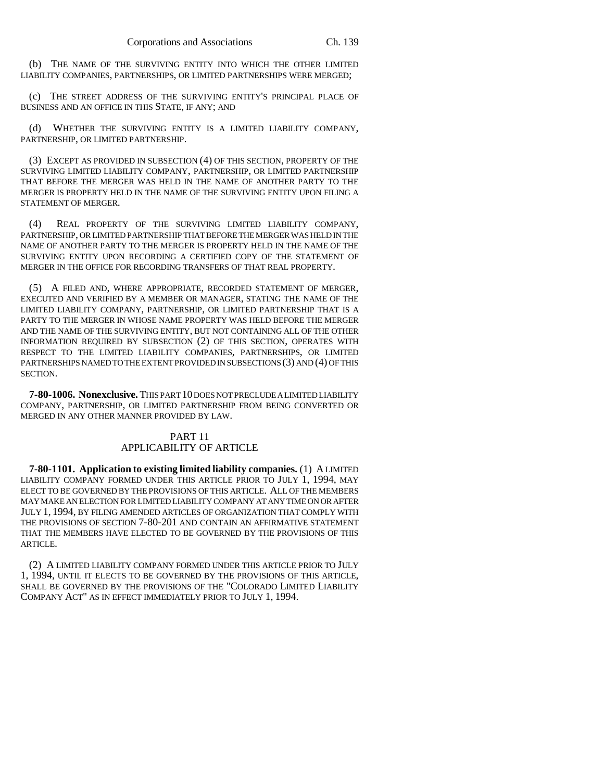(b) THE NAME OF THE SURVIVING ENTITY INTO WHICH THE OTHER LIMITED LIABILITY COMPANIES, PARTNERSHIPS, OR LIMITED PARTNERSHIPS WERE MERGED;

(c) THE STREET ADDRESS OF THE SURVIVING ENTITY'S PRINCIPAL PLACE OF BUSINESS AND AN OFFICE IN THIS STATE, IF ANY; AND

(d) WHETHER THE SURVIVING ENTITY IS A LIMITED LIABILITY COMPANY, PARTNERSHIP, OR LIMITED PARTNERSHIP.

(3) EXCEPT AS PROVIDED IN SUBSECTION (4) OF THIS SECTION, PROPERTY OF THE SURVIVING LIMITED LIABILITY COMPANY, PARTNERSHIP, OR LIMITED PARTNERSHIP THAT BEFORE THE MERGER WAS HELD IN THE NAME OF ANOTHER PARTY TO THE MERGER IS PROPERTY HELD IN THE NAME OF THE SURVIVING ENTITY UPON FILING A STATEMENT OF MERGER.

(4) REAL PROPERTY OF THE SURVIVING LIMITED LIABILITY COMPANY, PARTNERSHIP, OR LIMITED PARTNERSHIP THAT BEFORE THE MERGER WAS HELD IN THE NAME OF ANOTHER PARTY TO THE MERGER IS PROPERTY HELD IN THE NAME OF THE SURVIVING ENTITY UPON RECORDING A CERTIFIED COPY OF THE STATEMENT OF MERGER IN THE OFFICE FOR RECORDING TRANSFERS OF THAT REAL PROPERTY.

(5) A FILED AND, WHERE APPROPRIATE, RECORDED STATEMENT OF MERGER, EXECUTED AND VERIFIED BY A MEMBER OR MANAGER, STATING THE NAME OF THE LIMITED LIABILITY COMPANY, PARTNERSHIP, OR LIMITED PARTNERSHIP THAT IS A PARTY TO THE MERGER IN WHOSE NAME PROPERTY WAS HELD BEFORE THE MERGER AND THE NAME OF THE SURVIVING ENTITY, BUT NOT CONTAINING ALL OF THE OTHER INFORMATION REQUIRED BY SUBSECTION (2) OF THIS SECTION, OPERATES WITH RESPECT TO THE LIMITED LIABILITY COMPANIES, PARTNERSHIPS, OR LIMITED PARTNERSHIPS NAMED TO THE EXTENT PROVIDED IN SUBSECTIONS (3) AND (4) OF THIS SECTION.

**7-80-1006. Nonexclusive.** THIS PART 10 DOES NOT PRECLUDE A LIMITED LIABILITY COMPANY, PARTNERSHIP, OR LIMITED PARTNERSHIP FROM BEING CONVERTED OR MERGED IN ANY OTHER MANNER PROVIDED BY LAW.

## PART 11 APPLICABILITY OF ARTICLE

**7-80-1101. Application to existing limited liability companies.** (1) A LIMITED LIABILITY COMPANY FORMED UNDER THIS ARTICLE PRIOR TO JULY 1, 1994, MAY ELECT TO BE GOVERNED BY THE PROVISIONS OF THIS ARTICLE. ALL OF THE MEMBERS MAY MAKE AN ELECTION FOR LIMITED LIABILITY COMPANY AT ANY TIME ON OR AFTER JULY 1, 1994, BY FILING AMENDED ARTICLES OF ORGANIZATION THAT COMPLY WITH THE PROVISIONS OF SECTION 7-80-201 AND CONTAIN AN AFFIRMATIVE STATEMENT THAT THE MEMBERS HAVE ELECTED TO BE GOVERNED BY THE PROVISIONS OF THIS ARTICLE.

(2) A LIMITED LIABILITY COMPANY FORMED UNDER THIS ARTICLE PRIOR TO JULY 1, 1994, UNTIL IT ELECTS TO BE GOVERNED BY THE PROVISIONS OF THIS ARTICLE, SHALL BE GOVERNED BY THE PROVISIONS OF THE "COLORADO LIMITED LIABILITY COMPANY ACT" AS IN EFFECT IMMEDIATELY PRIOR TO JULY 1, 1994.